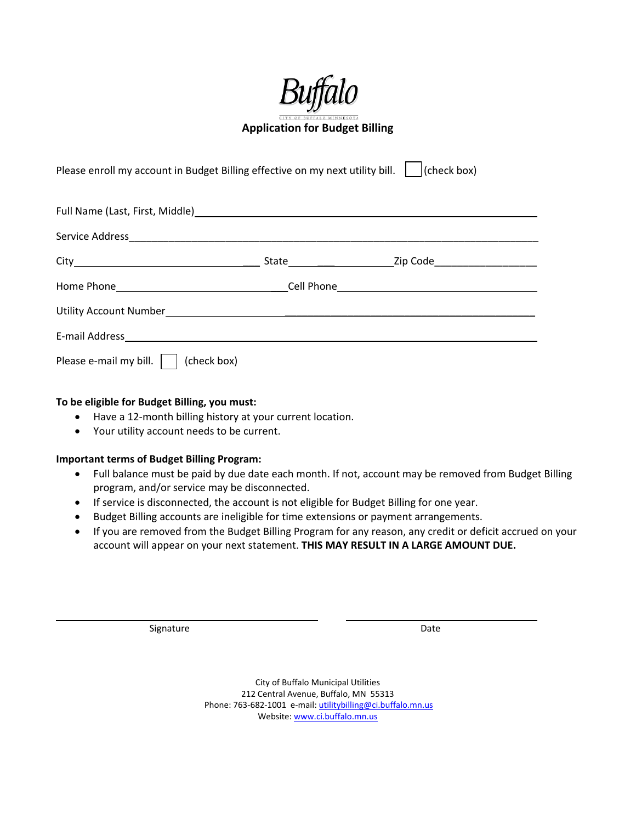

**Application for Budget Billing** 

Please enroll my account in Budget Billing effective on my next utility bill.  $\|$  (check box)

| Full Name (Last, First, Middle) Manual Manual Andrew Manual Manual Manual Manual Manual Manual Manual Manual |  |  |
|--------------------------------------------------------------------------------------------------------------|--|--|
|                                                                                                              |  |  |
|                                                                                                              |  |  |
|                                                                                                              |  |  |
|                                                                                                              |  |  |
|                                                                                                              |  |  |
| Please e-mail my bill.  <br>(check box)                                                                      |  |  |

## **To be eligible for Budget Billing, you must:**

- Have a 12-month billing history at your current location.
- Your utility account needs to be current.

## **Important terms of Budget Billing Program:**

- Full balance must be paid by due date each month. If not, account may be removed from Budget Billing program, and/or service may be disconnected.
- If service is disconnected, the account is not eligible for Budget Billing for one year.
- Budget Billing accounts are ineligible for time extensions or payment arrangements.
- If you are removed from the Budget Billing Program for any reason, any credit or deficit accrued on your account will appear on your next statement. **THIS MAY RESULT IN A LARGE AMOUNT DUE.**

Signature Date **Date** 

City of Buffalo Municipal Utilities 212 Central Avenue, Buffalo, MN 55313 Phone: 763‐682‐1001 e‐mail: utilitybilling@ci.buffalo.mn.us Website: www.ci.buffalo.mn.us